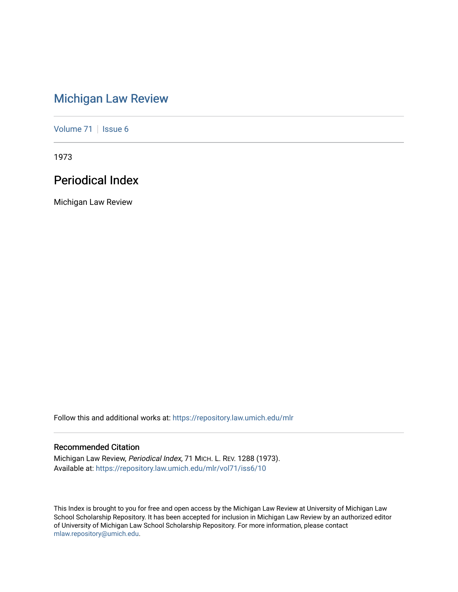# [Michigan Law Review](https://repository.law.umich.edu/mlr)

[Volume 71](https://repository.law.umich.edu/mlr/vol71) | [Issue 6](https://repository.law.umich.edu/mlr/vol71/iss6)

1973

# Periodical Index

Michigan Law Review

Follow this and additional works at: [https://repository.law.umich.edu/mlr](https://repository.law.umich.edu/mlr?utm_source=repository.law.umich.edu%2Fmlr%2Fvol71%2Fiss6%2F10&utm_medium=PDF&utm_campaign=PDFCoverPages) 

# Recommended Citation

Michigan Law Review, Periodical Index, 71 MICH. L. REV. 1288 (1973). Available at: [https://repository.law.umich.edu/mlr/vol71/iss6/10](https://repository.law.umich.edu/mlr/vol71/iss6/10?utm_source=repository.law.umich.edu%2Fmlr%2Fvol71%2Fiss6%2F10&utm_medium=PDF&utm_campaign=PDFCoverPages) 

This Index is brought to you for free and open access by the Michigan Law Review at University of Michigan Law School Scholarship Repository. It has been accepted for inclusion in Michigan Law Review by an authorized editor of University of Michigan Law School Scholarship Repository. For more information, please contact [mlaw.repository@umich.edu.](mailto:mlaw.repository@umich.edu)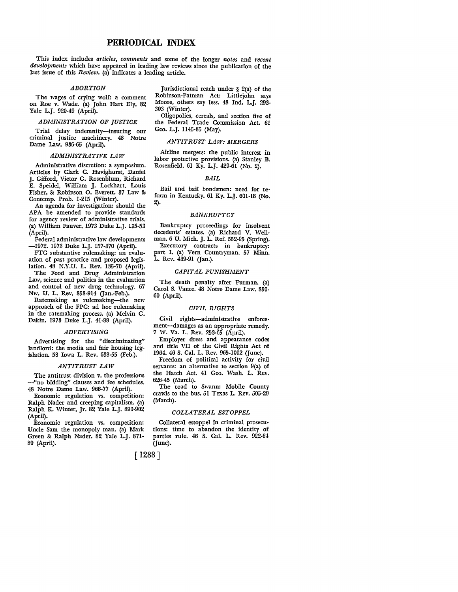# **PERIODICAL INDEX**

This index includes *articles, comments* and some of the longer *notes* and *recent developments* which have appeared in leading law reviews since the publication of the last issue of this *Review.* (a) indicates a leading article.

#### *ABORTION*

The wages of crying wolf: a comment on Roe v. Wade. (a) John Hart Ely. 82 Yale L.J. 920-49 (April).

## *ADMINISTRATION OF JUSTICE*

Trial delay indemnity-insuring our criminal justice machinery. 48 Notre Dame Law. 936-65 (April).

## *ADMINISTRATIVE LAW*

Administrative discretion: a symposium. Articles by Clark C. Havighurst, Daniel J. Gifford, Victor G. Rosenblum, Richard E. Speidel, William J. Lockhart, Louis Fisher, & Robinson O. Everett. 37 Law & Contemp. Prob. 1-215 (Winter).

An agenda for investigation: should the APA be amended to provide standards for agency review of administrative trials. (a) William Fauver. 1973 Duke L.J. 135-53 (April).

Federal administrative law developments -1972. 1973 Duke L.J. 157-370 (April).

FTC substantive rulemaking: an evaluation of past practice and proposed legislation. 48 N.Y.U. L. Rev. 135-70 (April). The Food and Drug Administration Law, science and politics in the evaluation and control of new drug technology. 67

Nw. U. L. Rev. 858-914 (Jan.-Feb.). Ratemaking as rulemaking-the new approach of the FPC: ad hoc rulemaking in the ratemaking process. (a) Melvin G. Dakin. 1973 Duke L.J. 41-88 (April).

#### *ADVERTISING*

Advertising for the "discriminating" landlord: the media and fair housing legislation. 58 Iowa L. Rev. 638-55 (Feb.).

## *ANTITRUST LAW*

The antitrust division v. the professions -"no bidding" clauses and fee schedules. 48 Notre Dame Law. 966-77 (April).

Economic regulation vs. competition: Ralph Nader and creeping capitalism. (a) Ralph K. Winter, Jr. 82 Yale L.J. 890-902 (April).

Economic regulation vs. competition: Uncle Sam the monopoly man. (a) Mark Green & Ralph Nader. 82 Yale L.J. 871- 89 (April).

Jurisdictional reach under § 2(a) of the Robinson-Patman Act: Littlejohn says Moore, others say less. 48 Ind. L.J. 293- 303 (Winter).

Oligopolies, cereals, and section five of the Federal Trade Commission Act. 61 Geo. L.J. ll45-85 (May).

#### *ANTITRUST LAW: MERGERS*

Airline mergers: the public interest in labor protective provisions. (a) Stanley B. Rosenfield. 61 Ky. L.J. 429-61 (No. 2).

#### *BAIL*

Bail and bail bondsmen: need for reform in Kentucky. 61 Ky. L.J. 601-18 (No. 2).

## *BANKRUPTCY*

Bankruptcy proceedings for insolvent decedents' estates. (a) Richard V. Wellman. 6 U. Mich. J. L. Ref. 552-95 (Spring). Executory contracts in bankruptcy:

part I. (a) Vern Countryman. 57 Minn. L. Rev. 439-91 Gan.).

## *CAPITAL PUNISHMENT*

The death penalty after Furman. (a) Carol S. Vance. 48 Notre Dame Law. 850- 60 (April).

## *CIVIL RIGHTS*

Civil rights-administrative enforcement-damages as an appropriate remedy. 7 W. Va. L. Rev. 253-65 (April).

Employer dress and appearance codes and title VII of the Civil Rights Act of 1964. 46 S. Cal. L. Rev. 965-1002 (June).

Freedom of political activity for civil servants: an alternative to section 9(a) of the Hatch Act. 41 Geo. Wash. L. Rev. 626-45 (March).

The road to Swann: Mobile County crawls to the bus. 51 Texas L. Rev. 505-29 (March).

## *COLLATERAL ESTOPPEL*

Collateral estoppel in criminal prosecutions: time to abandon the identity of parties rule. 46 S. Cal. L. Rev. 922-64 (June).

[ 1288]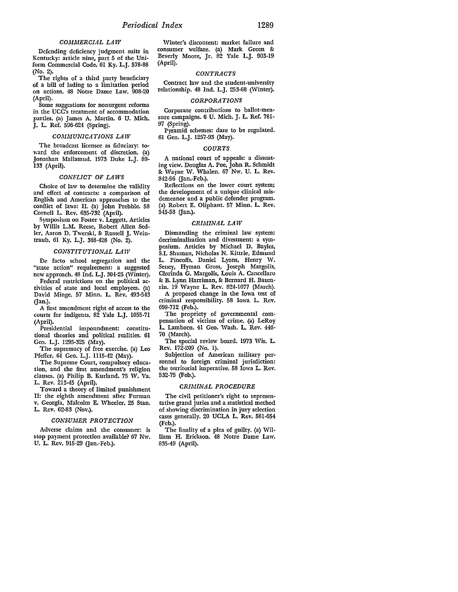## *COMMERCIAL LAW*

Defending deficiency judgment suits in Kentucky: article nine, part 5 of the Uniform Commercial Code. 61 Ky. L.J. 578-88 (No. 2).

The rights of a third party beneficiary of a bill of lading to a limitation period on actions. 48 Notre Dame Law. 908-20 (April).

Some suggestions for nonurgent reforms in the UCC's treatment of accommodation parties. (a) James A. Martin. 6 U. Mich. J. L. Ref. 596-624 (Spring).

#### *COMMUNICATIONS LAW*

The broadcast licensee as fiduciary: toward the enforcement of discretion. (a) Jonathan Mallamud. 1973 Duke L.J. 89- 133 (April).

## *CONFLICT OF LAWS*

Choice of law to determine the validity and effect of contracts: a comparison of English and American approaches to the conflict of laws: II. (a) John Prebble. 58 Cornell L. Rev. 635-732 (April).

Symposium on Foster v. Leggett. Articles by Willis L.M. Reese, Robert Allen Sedler, Aaron D. Twerski, & Russell J. Weintraub. 61 Ky. L.J. 368-428 (No. 2).

## *CONSTITUTIONAL LAW*

De facto school segregation and the "state action" requirement: a suggested new approach. 48 Ind. L.J. 304-25 (Winter).

Federal restrictions on the political activities of state and local employees. (a) David Minge. 57 Minn. L. Rev. 493-543 Gan.).

A first amendment right of access to the courts for indigents. 82 Yale L.J. 1055-71 (April).

Presidential impoundment: constitutional theories and political realities. 61 Geo. L.J. 1295-325 (May).

The supremacy of free exercise. (a) Leo Pfeifer. 61 Geo. L.J. 1115-42 (May).

The Supreme Court, compulsory education, and the first amendment's religion clauses. (a) Philip B. Kurland. 75 W. Va. **L.** Rev. 213-45 (April).

Toward a theory of limited punishment II: the eighth amendment after Furman **v.** Georgia. Malcolm E. Wheeler. 25 Stan. **L.** Rev. 62-83 (Nov.).

## *CONSUMER PROTECTION*

Adverse claims and the consumer: is stop payment protection available? 67 Nw. U. L. Rev. 915-29 (Jan.-Feb.).

Winter's discontent: market failure and consumer welfare. (a) Mark Green & Beverly Moore, Jr. 82 Yale L.J. 903-19 (April).

## *CONTRACTS*

Contract law and the student-university relationship. 48 Ind. L.J. 253-68 (Winter).

#### *CORPORATIONS*

Corporate contributions to ballot-measure campaigns. 6 U. Mich. J. L. Ref. 781- 97 (Spring).

Pyramid schemes: dare to be regulated. 61 Geo. L.J. 1257-93 (May).

## *COURTS*

A national court of appeals: a dissenting view. Douglas A. Poe, John R. Schmidt & Wayne W. Whalen. 67 Nw. U. L. Rev. 842-56 Gan.-Feb.).

Reflections on the lower court system; the development of a unique clinical misdemeanor and a public defender program. (a) Robert E. Oliphant. 57 Minn. L. Rev. 545-58 Gan.).

#### *CRIMINAL LAW*

Dismantling the criminal law system: decriminalization and divestment: a symposium. Articles by Michael D. Bayles, S.I. Shuman, Nicholas N. Kittrie, Edmund L. Pincoffs, Daniel Lyons, Henry W. Seney, Hyman Gross, Joseph Margolis, Clorinda G. Margolis, Louis A. Cancellaro & B. Lynn Harriman, & Bernard H. Baumrin. 19 Wayne L. Rev. 824-1077 (March).

A proposed change in the Iowa test of criminal responsibility. 58 Iowa L. Rev. 699-712 (Feb.).

The propriety of governmental compensation of victims of crime. (a) LeRoy **L.** Lamborn. 41 Geo. Wash. **L.** Rev. 446- 70 (March).

The special review board. 1973 Wis. L. Rev. 172-209 (No. 1).

Subjection of American military personnel to foreign criminal jurisdiction: the territorial imperative. 58 Iowa **L.** Rev. 532-75 (Feb.).

#### *CRIMINAL PROCEDURE*

The civil petitioner's right to representative grand juries and a statistical method of showing discrimination in jury selection cases generally. 20 UCLA L. Rev. 581-654 (Feb.).

The finality of a plea of guilty. (a) William H. Erickson. 48 Notre Dame Law. 835-49 (April).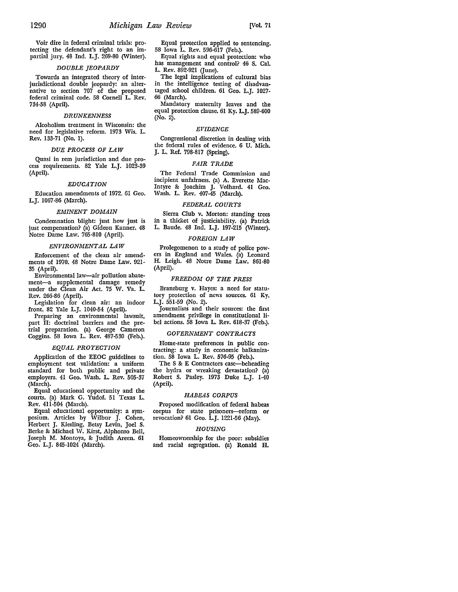Voir dire in federal criminal trials: protecting the defendant's right to an impartial jury. 48 Ind. L.J. 269-80 (Winter).

#### *DOUBLE JEOPARDY*

Towards an integrated theory of interjurisdictional double jeopardy: an alternative to section 707 of the proposed federal criminal code. 58 Cornell L. Rev. 734-58 (April).

## *DRUNKENNESS*

Alcoholism treatment in Wisconsin: the need for legislative reform. 1973 Wis. L. Rev. 133-71 (No. I).

#### *DUE PROCESS OF LAW*

Quasi in rem jurisdiction and due process requirements. 82 Yale L.J. 1023-39 (April).

## *EDUCATION*

Education amendments of 1972. 61 Geo. L.J. 1067-86 (March).

#### *EMINENT DOMAIN*

Condemnation blight: just how just is just compensation? (a) Gideon Kanner. 48 Notre Dame Law. 765-810 (April).

## *ENVIRONMENTAL LAW*

Enforcement of the clean air amendments of 1970. 48 Notre Dame Law. 921· 35 (April).

Environmental law-air pollution abatement-a supplemental damage remedy under the Clean Air Act. 75 W. Va. L. Rev. 266-86 (April).

Legislation for clean air: an indoor front. 82 Yale L.J. 1040-54 (April).

Preparing an environmental lawsuit, part II: doctrinal barriers and the pretrial preparation. (a) George Cameron Coggins. 58 Iowa L. Rev. 487-530 (Feb.).

#### *EQUAL PROTECTION*

Application of the EEOC guidelines to employment test validation: a uniform standard for both public and private employers. 41 Geo. Wash. L. Rev. 505-37 (March).

Equal educational opportunity and the courts. (a) Mark G. Yudof. 51 Texas L. Rev. 411-504 (March).

Equal educational opportunity: a symposium. Articles by Wilbur J. Cohen, Herbert J. Kiesling, Betsy Levin, Joel S. Berke &: Michael W. Kirst, Alphonso Bell, Joseph **M.** Montoya, &: Judith Areen. 61 Geo. L.J. 845-1024 (March).

Equal protection applied to sentencing. 58 Iowa L. Rev. 596-617 (Feb.).

Equal rights and equal protection: who has management and control? 46 S. Cal. L. Rev. 892-921 (June).

The legal implications of cultural bias in the intelligence testing of disadvantaged school children. 61 Geo. L.J. 1027- 66 (March).

Mandatory maternity leaves and the equal protection clause. 61 Ky. L.J. 589-600 (No. 2).

## *EVIDENCE*

Congressional discretion in dealing with the federal rules of evidence. 6 U. Mich. J. L. Ref. 798-817 (Spring).

## *FAIR TRADE*

The Federal Trade Commission and incipient unfairness. (a) A. Everette Mac-Intyre &: Joachim J. Volhard. 41 Geo. Wash. L. Rev. 407-45 (March).

## *FEDERAL COURTS*

Sierra Club v. Morton: standing trees in a thicket of justiciability. (a) Patrick L. Baude. 48 Ind. L.J. 197-215 (Winter).

#### *FOREIGN LAW*

Prolegomenon to a study of police powers in England and Wales. (a) Leonard H. Leigh. 48 Notre Dame Law. 861-80 (April).

## *FREEDOM OF THE PRESS*

Branzburg v. Hayes: a need for statutory protection of news sources. 61 Ky. L.J. 551-59 (No. 2).

Journalists and their sources: the first amendment privilege in constitutional **li**bel actions. 58 Iowa **L.** Rev. 618-37 (Feb.).

## *GOVERNMENT CONTRACTS*

Home-state preferences in public contracting: a study in economic balkanization. 58 Iowa L. Rev. 576-95 (Feb.).

The S & E Contractors case-beheading the hydra or wreaking devastation? (a) Robert S. Pasley. 1973 Duke L.J. 1-40 (April).

## *HABEAS CORPUS*

Proposed modification of federal habeas corpus for state prisoners-reform or revocation? 61 Geo. L.J. 1221-56 (May).

## *HOUSING*

Homeownership for the poor: subsidies and racial segregation. (a) Ronald H.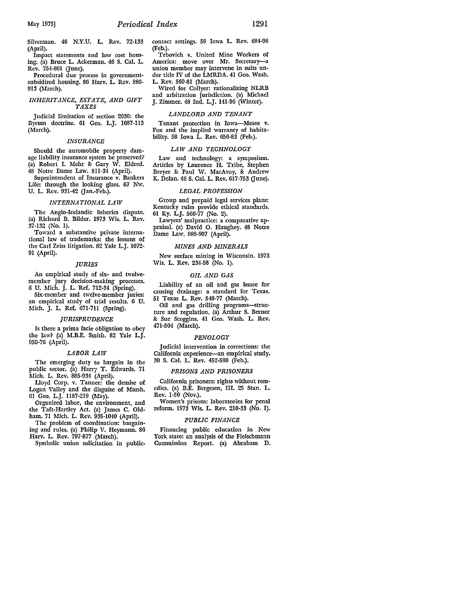Silverman. 48 N.Y.U. L. Rev. 72-133 (April).

Impact statements and low cost housing. (a) Bruce L. Ackerman. 46 S. Cal. L. Rev. 754-801 Gune).

Procedural due process in governmentsubsidized housing. 86 Harv. L. Rev. 880- 913 (March).

## *INHERITANCE, ESTATE, AND GIFT TAXES*

Judicial limitation of section 2036: the B}TUm doctrine. 61 Geo. L.J. 1087-113 (March).

## *INSURANCE*

Should the automobile property damage liability insurance system be preserved? (a) Robert I. Mehr &: Gary W. Eldred. 48 Notre Dame Law. 811-34 (April).

Superintendent of Insurance v. Bankers Life: through the looking glass. 67 Nw. U. L. Rev. 931-42 Gan.-Feb.).

#### *INTERNATIONAL LAW*

The Anglo-Icelandic fisheries dispute. (a) Richard B. Bilder. 1973 Wis. L. Rev. 37-132 (No. I).

Toward a substantive private international law of trademarks: the lessons of the Carl Zeiss litigation. 82 Yale L.J. 1072- 91 (April).

## *JURIES*

An empirical study of six- and twelvemember jury decision-making processes. 6 U. Mich. J. L. Ref. 712-34 (Spring).

Six-member and twelve-member juries: an empirical study of trial results. 6 U. Mich. J. L. Ref. 671-711 (Spring).

#### *JURISPRUDENCE*

Is there a prima facie obligation to obey the law? (a) M.B.E. Smith. 82 Yale L.J. 950-76 (April).

### *LABOR LAW*

The emerging duty to bargain in the public sector. (a) Harry T. Edwards. 71 Mich. L. Rev. 885-934 (April).

Lloyd Corp. v. Tanner: the demise of Logan Valley and the disguise of Marsh. 61 Geo. L.J. II87-219 (May).

Organized labor, the environment, and the Taft-Hartley Act. (a) James C. Oldham. 71 Mich. L. Rev. 935-1040 (April).

The problem of coordination: bargaining and rules. (a) Philip V. Heymann. 86 Harv. L. Rev. 797-877 (March).

Symbolic union solicitation in public-

contact settings. 58 Iowa L. Rev. 684-98 (Feb.).

Trbovich v. United Mine Workers of America: move over Mr. Secretary-a union member may intervene in suits under title IV of the LMRDA. 41 Geo. Wash. L. Rev. 560-81 (March).

Wired for Collyer: rationalizing NLRB and arbitration jurisdiction. (a) Michael J. Zimmer. 48 Ind. L.J. 141-96 (Winter).

#### *LANDLORD AND TENANT*

Tenant protection in Iowa-Mease v. Fox and the implied warranty of habitability. 58 Iowa **L.** Rev. 656-83 (Feb.).

#### *LAW AND TECHNOLOGY*

Law and technology: a symposium. Articles by Laurence **H.** Tribe, Stephen Breyer &: Paul W. MacAvoy, &: Andrew K. Dolan. 46 S. Cal. L. Rev. 617-753 (June).

### *LEGAL PROFESSION*

Group and prepaid legal services plans: Kentucky rules provide ethical standards. 61 Ky. L.J. 560-77 (No. 2).

Lawyers' malpractice: a comparative appraisal. (a) David 0. Haughey. 48 Notre Dame Law. 888-907 (April).

## *MINES AND MINERALS*

New surface mining in Wisconsin. 1973 Wis. L. Rev. 234-58 (No. I).

#### *OIL AND GAS*

Liability of an oil and gas lessee for causing drainage: a standard for Texas. 51 Texas L. Rev. 546-77 (March).

Oil and gas drilling programs-structure and regulation. (a) Arthur S. Berner &: Sue Scoggins. 41 Geo. Wash. L. Rev. 471-504 (March).

#### *PENOLOGY*

Judicial intervention in corrections: the California experience-an empirical study. 30 S. Cal. L. Rev. 452-580 (Feb.).

## *PRISONS AND PRISONERS*

California prisoners: rights without remedies. (a) B.E. Bergesen, III. 25 Stan. L. Rev. 1-50 (Nov.).

Women's prisons: laboratories for penal reform. 1973 Wis. L. Rev. 210-33 (No. 1).

#### *PUBLIC FINANCE*

Financing public education in New York state: an analysis of the Fleischmann Commission Report. (a) Abraham D.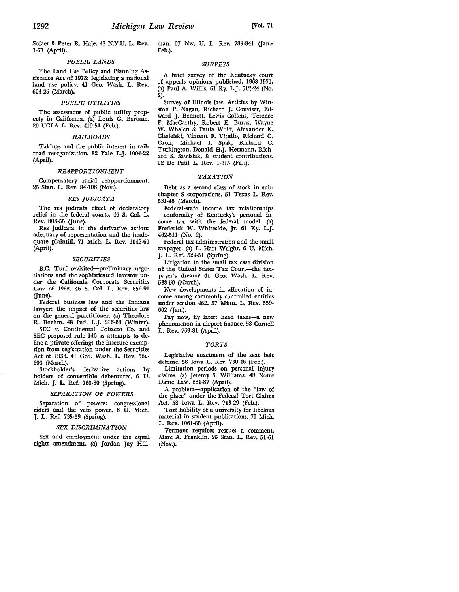Sofaer &: Peter R. Haje. 48 N.Y.U. L. Rev. 1-71 (April).

# *PUBLIC LANDS*

The Land Use Policy and Planning Assistance Act of 1973: legislating a national land use policy. 41 Geo. Wash. L. Rev. 604-25 (March).

#### *PUBLIC UTILITIES*

The assessment of public utility property in California. (a) Louis G. Bertane. 20 UCLA L. Rev. 419-51 (Feb.).

## *RAILROADS*

Takings and the public interest in railroad reorganization. 82 Yale L.J. 1004-22 (April).

## *REAPPORTIONMENT*

Compensatory racial reapportionment. 25 Stan. L. Rev. 84-106 (Nov.).

#### *RES JUDICATA*

The res judicata effect of declaratory relief in the federal courts. 46 S. Cal. L. Rev. 803-55 (June).

Res judicata in the derivative action: adequacy of representation and the inadequate plaintiff. 71 Mich. L. Rev. 1042-60 (April).

## *SECURITIES*

B.C. Turf revisited-preliminary negotiations and the sophisticated investor under the California Corporate Securities Law of 1968. 46 S. Cal. L. Rev. 856-91 (June).

Federal business law and the Indiana lawyer: the impact of the securities law on the general practitioner. (a) Theodore R. Boehm. 48 Ind. L.J. 216-38 (Winter).

SEC v. Continental Tobacco Co. and SEC proposed rule 146 as attempts to define a private offering: the insecure exemption from registration under the Securities Act of 1933. 41 Geo. Wash. L. Rev. 582- 603 (March).

derivative actions by holders of convertible debentures. 6 U. Mich. J. L. Ref. 760-80 (Spring).

#### *SEPARATION OF POWERS*

Separation of powers: congressional riders and the veto power. 6 U. Mich. J. L. Ref. 735-59 (Spring).

#### *SEX DISCRIMINATION*

Sex and employment under the equal rights amendment. (a) Jordan Jay Hill-

man. 67 Nw. U. L. Rev. 789-841 (Jan.-Feb.).

#### *SURVEYS*

A brief survey of the Kentucky court of appeals opinions published, 1968-1971. (a) Paul A. Willis. 61 Ky. L.J. 512-24 (No. 2).

Survey of Illinois law. Articles by Winston P. Nagan, Richard J. Conviser, Edward J. Bennett, Lewis Collens, Terence F. MacCarthy, Robert E. Burns, Wayne W. Whalen &: Paula Wolff, Alexander K. Ciesielski, Vincent F. Vitullo, Richard C. Groll, Michael I. Spak, Richard C. Turkington, Donald H.J. Hermann, Richard S. Sawislak, & student contributions. 22 De Paul L. Rev. 1-315 (Fall).

#### *TAXATION*

Debt as a second class of stock in subchapter S corporations. 51 Texas L. Rev. 531-45 (March).

Federal-state income tax relationships -conformity of Kentucky's personal income tax with the federal model. (a) Frederick W. Whiteside, Jr. 61 Ky. L.J. 462-511 (No. 2).

Federal tax administration and the small taxpayer. (a) L. Hart Wright. 6 U. Mich. J. L. Ref. 529-51 (Spring).

Litigation in the small tax case division of the United States Tax Court-the taxpayer's dream? 41 Geo. Wash. L. Rev. 538-59 (March).

New developments in allocation of income among commonly controlled entities under section 482. 57 Minn. L. Rev. 559- 602 Gan.).

Pay now, fly later: head taxes-a new phenomenon in airport finance. 58 Cornell L. Rev. 759-81 (April).

#### *TORTS*

Legislative enactment of the seat belt defense. 58 Iowa L. Rev. 730-46 (Feb.).

Limitation periods on personal injury claims. (a) Jeremy S. Williams. 48 Notre Dame Law. 881-87 (April).

A problem-application of the "law of the place" under the Federal Tort Claims Act. 58 Iowa L. Rev. 713-29 (Feb.).

Tort liability of a university for libelous material in student publications. 71 Mich. L. Rev. 1061-88 (April).

Vermont requires rescue: a comment. Marc A. Franklin. 25 Stan. L. Rev. 51-61 (Nov.).